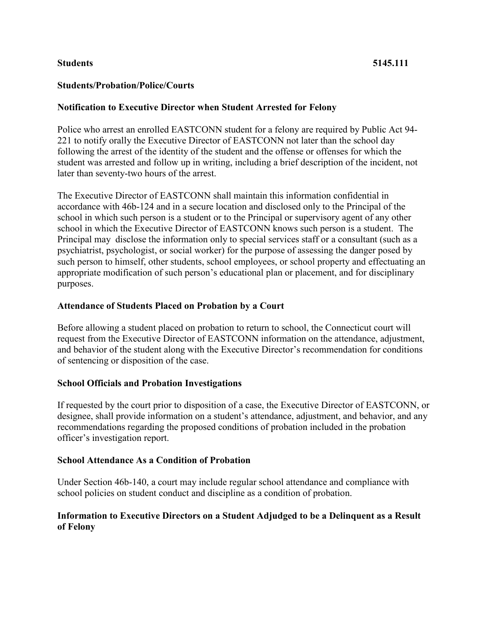## **Students 5145.111**

## **Students/Probation/Police/Courts**

### **Notification to Executive Director when Student Arrested for Felony**

Police who arrest an enrolled EASTCONN student for a felony are required by Public Act 94- 221 to notify orally the Executive Director of EASTCONN not later than the school day following the arrest of the identity of the student and the offense or offenses for which the student was arrested and follow up in writing, including a brief description of the incident, not later than seventy-two hours of the arrest.

The Executive Director of EASTCONN shall maintain this information confidential in accordance with 46b-124 and in a secure location and disclosed only to the Principal of the school in which such person is a student or to the Principal or supervisory agent of any other school in which the Executive Director of EASTCONN knows such person is a student. The Principal may disclose the information only to special services staff or a consultant (such as a psychiatrist, psychologist, or social worker) for the purpose of assessing the danger posed by such person to himself, other students, school employees, or school property and effectuating an appropriate modification of such person's educational plan or placement, and for disciplinary purposes.

#### **Attendance of Students Placed on Probation by a Court**

Before allowing a student placed on probation to return to school, the Connecticut court will request from the Executive Director of EASTCONN information on the attendance, adjustment, and behavior of the student along with the Executive Director's recommendation for conditions of sentencing or disposition of the case.

#### **School Officials and Probation Investigations**

If requested by the court prior to disposition of a case, the Executive Director of EASTCONN, or designee, shall provide information on a student's attendance, adjustment, and behavior, and any recommendations regarding the proposed conditions of probation included in the probation officer's investigation report.

#### **School Attendance As a Condition of Probation**

Under Section 46b-140, a court may include regular school attendance and compliance with school policies on student conduct and discipline as a condition of probation.

# **Information to Executive Directors on a Student Adjudged to be a Delinquent as a Result of Felony**